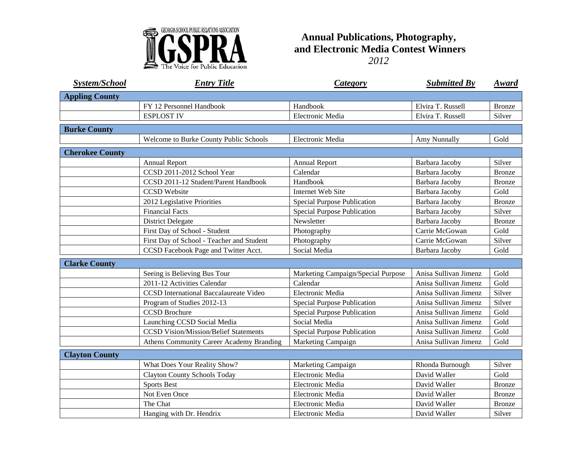

## **Annual Publications, Photography, and Electronic Media Contest Winners** *2012*

| <b>System/School</b>   | <b>Entry Title</b>                              | <b>Category</b>                    | <b>Submitted By</b>   | <u>Award</u>  |
|------------------------|-------------------------------------------------|------------------------------------|-----------------------|---------------|
| <b>Appling County</b>  |                                                 |                                    |                       |               |
|                        | FY 12 Personnel Handbook                        | Handbook                           | Elvira T. Russell     | <b>Bronze</b> |
|                        | <b>ESPLOST IV</b>                               | Electronic Media                   | Elvira T. Russell     | Silver        |
| <b>Burke County</b>    |                                                 |                                    |                       |               |
|                        | Welcome to Burke County Public Schools          | Electronic Media                   | Amy Nunnally          | Gold          |
| <b>Cherokee County</b> |                                                 |                                    |                       |               |
|                        | <b>Annual Report</b>                            | <b>Annual Report</b>               | Barbara Jacoby        | Silver        |
|                        | CCSD 2011-2012 School Year                      | Calendar                           | Barbara Jacoby        | <b>Bronze</b> |
|                        | CCSD 2011-12 Student/Parent Handbook            | Handbook                           | Barbara Jacoby        | <b>Bronze</b> |
|                        | <b>CCSD</b> Website                             | <b>Internet Web Site</b>           | Barbara Jacoby        | Gold          |
|                        | 2012 Legislative Priorities                     | Special Purpose Publication        | Barbara Jacoby        | Bronze        |
|                        | <b>Financial Facts</b>                          | <b>Special Purpose Publication</b> | Barbara Jacoby        | Silver        |
|                        | <b>District Delegate</b>                        | Newsletter                         | Barbara Jacoby        | Bronze        |
|                        | First Day of School - Student                   | Photography                        | Carrie McGowan        | Gold          |
|                        | First Day of School - Teacher and Student       | Photography                        | Carrie McGowan        | Silver        |
|                        | CCSD Facebook Page and Twitter Acct.            | Social Media                       | Barbara Jacoby        | Gold          |
| <b>Clarke County</b>   |                                                 |                                    |                       |               |
|                        | Seeing is Believing Bus Tour                    | Marketing Campaign/Special Purpose | Anisa Sullivan Jimenz | Gold          |
|                        | 2011-12 Activities Calendar                     | Calendar                           | Anisa Sullivan Jimenz | Gold          |
|                        | <b>CCSD</b> International Baccalaureate Video   | Electronic Media                   | Anisa Sullivan Jimenz | Silver        |
|                        | Program of Studies 2012-13                      | Special Purpose Publication        | Anisa Sullivan Jimenz | Silver        |
|                        | <b>CCSD Brochure</b>                            | Special Purpose Publication        | Anisa Sullivan Jimenz | Gold          |
|                        | Launching CCSD Social Media                     | Social Media                       | Anisa Sullivan Jimenz | Gold          |
|                        | <b>CCSD Vision/Mission/Belief Statements</b>    | Special Purpose Publication        | Anisa Sullivan Jimenz | Gold          |
|                        | <b>Athens Community Career Academy Branding</b> | Marketing Campaign                 | Anisa Sullivan Jimenz | Gold          |
| <b>Clayton County</b>  |                                                 |                                    |                       |               |
|                        | What Does Your Reality Show?                    | Marketing Campaign                 | Rhonda Burnough       | Silver        |
|                        | <b>Clayton County Schools Today</b>             | Electronic Media                   | David Waller          | Gold          |
|                        | <b>Sports Best</b>                              | Electronic Media                   | David Waller          | <b>Bronze</b> |
|                        | Not Even Once                                   | Electronic Media                   | David Waller          | Bronze        |
|                        | The Chat                                        | Electronic Media                   | David Waller          | <b>Bronze</b> |
|                        | Hanging with Dr. Hendrix                        | Electronic Media                   | David Waller          | Silver        |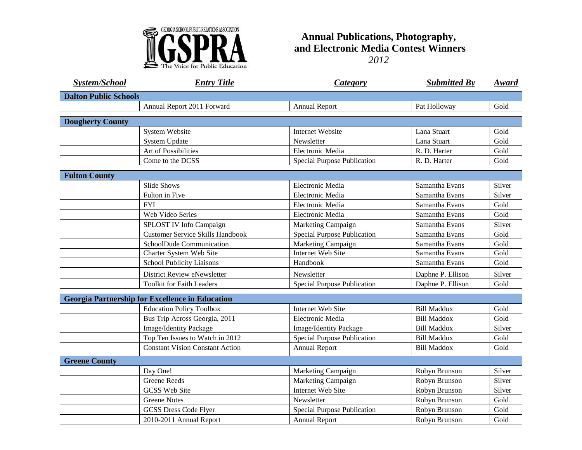

## **Annual Publications, Photography, and Electronic Media Contest Winners** *2012*

| <b>System/School</b>                                   | <b>Entry Title</b>                      | <b>Category</b>               | <b>Submitted By</b> | Award  |  |  |  |
|--------------------------------------------------------|-----------------------------------------|-------------------------------|---------------------|--------|--|--|--|
| <b>Dalton Public Schools</b>                           |                                         |                               |                     |        |  |  |  |
|                                                        | Annual Report 2011 Forward              | <b>Annual Report</b>          | Pat Holloway        | Gold   |  |  |  |
| <b>Dougherty County</b>                                |                                         |                               |                     |        |  |  |  |
|                                                        | <b>System Website</b>                   | <b>Internet Website</b>       | Lana Stuart         | Gold   |  |  |  |
|                                                        | <b>System Update</b>                    | Newsletter                    | Lana Stuart         | Gold   |  |  |  |
|                                                        | Art of Possibilities                    | Electronic Media              | R. D. Harter        | Gold   |  |  |  |
|                                                        | Come to the DCSS                        | Special Purpose Publication   | R. D. Harter        | Gold   |  |  |  |
| <b>Fulton County</b>                                   |                                         |                               |                     |        |  |  |  |
|                                                        | <b>Slide Shows</b>                      | Electronic Media              | Samantha Evans      | Silver |  |  |  |
|                                                        | Fulton in Five                          | Electronic Media              | Samantha Evans      | Silver |  |  |  |
|                                                        | <b>FYI</b>                              | Electronic Media              | Samantha Evans      | Gold   |  |  |  |
|                                                        | Web Video Series                        | Electronic Media              | Samantha Evans      | Gold   |  |  |  |
|                                                        | SPLOST IV Info Campaign                 | Marketing Campaign            | Samantha Evans      | Silver |  |  |  |
|                                                        | <b>Customer Service Skills Handbook</b> | Special Purpose Publication   | Samantha Evans      | Gold   |  |  |  |
|                                                        | SchoolDude Communication                | Marketing Campaign            | Samantha Evans      | Gold   |  |  |  |
|                                                        | Charter System Web Site                 | Internet Web Site             | Samantha Evans      | Gold   |  |  |  |
|                                                        | <b>School Publicity Liaisons</b>        | Handbook                      | Samantha Evans      | Gold   |  |  |  |
|                                                        | District Review eNewsletter             | Newsletter                    | Daphne P. Ellison   | Silver |  |  |  |
|                                                        | <b>Toolkit for Faith Leaders</b>        | Special Purpose Publication   | Daphne P. Ellison   | Gold   |  |  |  |
| <b>Georgia Partnership for Excellence in Education</b> |                                         |                               |                     |        |  |  |  |
|                                                        | <b>Education Policy Toolbox</b>         | <b>Internet Web Site</b>      | <b>Bill Maddox</b>  | Gold   |  |  |  |
|                                                        | Bus Trip Across Georgia, 2011           | Electronic Media              | <b>Bill Maddox</b>  | Gold   |  |  |  |
|                                                        | Image/Identity Package                  | <b>Image/Identity Package</b> | <b>Bill Maddox</b>  | Silver |  |  |  |
|                                                        | Top Ten Issues to Watch in 2012         | Special Purpose Publication   | <b>Bill Maddox</b>  | Gold   |  |  |  |
|                                                        | <b>Constant Vision Constant Action</b>  | Annual Report                 | <b>Bill Maddox</b>  | Gold   |  |  |  |
| <b>Greene County</b>                                   |                                         |                               |                     |        |  |  |  |
|                                                        | Day One!                                | Marketing Campaign            | Robyn Brunson       | Silver |  |  |  |
|                                                        | <b>Greene Reeds</b>                     | Marketing Campaign            | Robyn Brunson       | Silver |  |  |  |
|                                                        | <b>GCSS Web Site</b>                    | <b>Internet Web Site</b>      | Robyn Brunson       | Silver |  |  |  |
|                                                        | <b>Greene Notes</b>                     | Newsletter                    | Robyn Brunson       | Gold   |  |  |  |
|                                                        | <b>GCSS Dress Code Flyer</b>            | Special Purpose Publication   | Robyn Brunson       | Gold   |  |  |  |
|                                                        | 2010-2011 Annual Report                 | <b>Annual Report</b>          | Robyn Brunson       | Gold   |  |  |  |